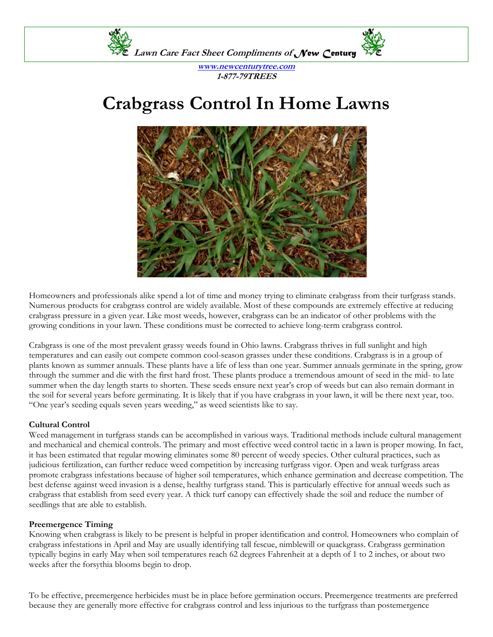

**www.newcenturytree.com 1-877-79TREES** 

## **Crabgrass Control In Home Lawns**



Homeowners and professionals alike spend a lot of time and money trying to eliminate crabgrass from their turfgrass stands. Numerous products for crabgrass control are widely available. Most of these compounds are extremely effective at reducing crabgrass pressure in a given year. Like most weeds, however, crabgrass can be an indicator of other problems with the growing conditions in your lawn. These conditions must be corrected to achieve long-term crabgrass control.

Crabgrass is one of the most prevalent grassy weeds found in Ohio lawns. Crabgrass thrives in full sunlight and high temperatures and can easily out compete common cool-season grasses under these conditions. Crabgrass is in a group of plants known as summer annuals. These plants have a life of less than one year. Summer annuals germinate in the spring, grow through the summer and die with the first hard frost. These plants produce a tremendous amount of seed in the mid- to late summer when the day length starts to shorten. These seeds ensure next year's crop of weeds but can also remain dormant in the soil for several years before germinating. It is likely that if you have crabgrass in your lawn, it will be there next year, too. "One year's seeding equals seven years weeding," as weed scientists like to say.

## **Cultural Control**

Weed management in turfgrass stands can be accomplished in various ways. Traditional methods include cultural management and mechanical and chemical controls. The primary and most effective weed control tactic in a lawn is proper mowing. In fact, it has been estimated that regular mowing eliminates some 80 percent of weedy species. Other cultural practices, such as judicious fertilization, can further reduce weed competition by increasing turfgrass vigor. Open and weak turfgrass areas promote crabgrass infestations because of higher soil temperatures, which enhance germination and decrease competition. The best defense against weed invasion is a dense, healthy turfgrass stand. This is particularly effective for annual weeds such as crabgrass that establish from seed every year. A thick turf canopy can effectively shade the soil and reduce the number of seedlings that are able to establish.

## **Preemergence Timing**

Knowing when crabgrass is likely to be present is helpful in proper identification and control. Homeowners who complain of crabgrass infestations in April and May are usually identifying tall fescue, nimblewill or quackgrass. Crabgrass germination typically begins in early May when soil temperatures reach 62 degrees Fahrenheit at a depth of 1 to 2 inches, or about two weeks after the forsythia blooms begin to drop.

To be effective, preemergence herbicides must be in place before germination occurs. Preemergence treatments are preferred because they are generally more effective for crabgrass control and less injurious to the turfgrass than postemergence